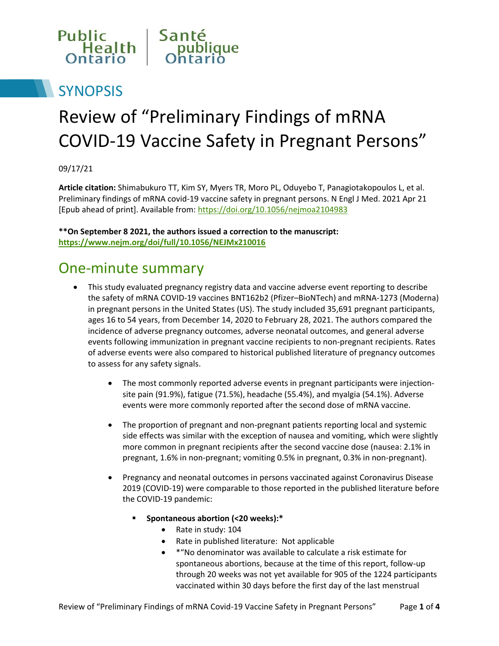

## **SYNOPSIS**

# Review of "Preliminary Findings of mRNA COVID-19 Vaccine Safety in Pregnant Persons"

09/17/21

**Article citation:** Shimabukuro TT, Kim SY, Myers TR, Moro PL, Oduyebo T, Panagiotakopoulos L, et al. Preliminary findings of mRNA covid-19 vaccine safety in pregnant persons. N Engl J Med. 2021 Apr 21 [Epub ahead of print]. Available from:<https://doi.org/10.1056/nejmoa2104983>

**\*\*On September 8 2021, the authors issued a correction to the manuscript: https://www.nejm.org/doi/full/10.1056/NEJMx210016**

#### One-minute summary

- This study evaluated pregnancy registry data and vaccine adverse event reporting to describe the safety of mRNA COVID-19 vaccines BNT162b2 (Pfizer–BioNTech) and mRNA-1273 (Moderna) in pregnant persons in the United States (US). The study included 35,691 pregnant participants, ages 16 to 54 years, from December 14, 2020 to February 28, 2021. The authors compared the incidence of adverse pregnancy outcomes, adverse neonatal outcomes, and general adverse events following immunization in pregnant vaccine recipients to non-pregnant recipients. Rates of adverse events were also compared to historical published literature of pregnancy outcomes to assess for any safety signals.
	- The most commonly reported adverse events in pregnant participants were injectionsite pain (91.9%), fatigue (71.5%), headache (55.4%), and myalgia (54.1%). Adverse events were more commonly reported after the second dose of mRNA vaccine.
	- The proportion of pregnant and non-pregnant patients reporting local and systemic side effects was similar with the exception of nausea and vomiting, which were slightly more common in pregnant recipients after the second vaccine dose (nausea: 2.1% in pregnant, 1.6% in non-pregnant; vomiting 0.5% in pregnant, 0.3% in non-pregnant).
	- Pregnancy and neonatal outcomes in persons vaccinated against Coronavirus Disease 2019 (COVID-19) were comparable to those reported in the published literature before the COVID-19 pandemic:
		- **Spontaneous abortion (<20 weeks):\***
			- Rate in study: 104
			- Rate in published literature: Not applicable
			- \*"No denominator was available to calculate a risk estimate for spontaneous abortions, because at the time of this report, follow-up through 20 weeks was not yet available for 905 of the 1224 participants vaccinated within 30 days before the first day of the last menstrual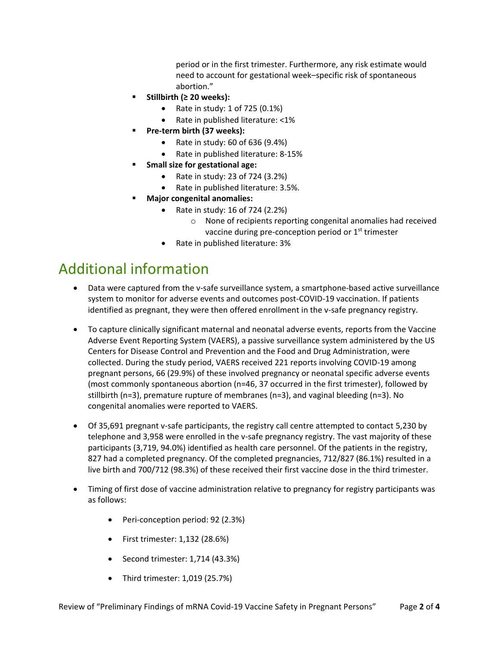period or in the first trimester. Furthermore, any risk estimate would need to account for gestational week–specific risk of spontaneous abortion."

- **Stillbirth (≥ 20 weeks):**
	- Rate in study:  $1$  of 725 (0.1%)
	- Rate in published literature: <1%
- **Pre-term birth (37 weeks):**
	- Rate in study:  $60$  of  $636$  (9.4%)
	- Rate in published literature: 8-15%
- **Small size for gestational age:**
	- Rate in study: 23 of  $724$  (3.2%)
	- Rate in published literature: 3.5%.
- **Major congenital anomalies:**
	- Rate in study: 16 of 724 (2.2%)
		- o None of recipients reporting congenital anomalies had received vaccine during pre-conception period or 1<sup>st</sup> trimester
	- Rate in published literature: 3%

### Additional information

- Data were captured from the v-safe surveillance system, a smartphone-based active surveillance system to monitor for adverse events and outcomes post-COVID-19 vaccination. If patients identified as pregnant, they were then offered enrollment in the v-safe pregnancy registry.
- To capture clinically significant maternal and neonatal adverse events, reports from the Vaccine Adverse Event Reporting System (VAERS), a passive surveillance system administered by the US Centers for Disease Control and Prevention and the Food and Drug Administration, were collected. During the study period, VAERS received 221 reports involving COVID-19 among pregnant persons, 66 (29.9%) of these involved pregnancy or neonatal specific adverse events (most commonly spontaneous abortion (n=46, 37 occurred in the first trimester), followed by stillbirth (n=3), premature rupture of membranes (n=3), and vaginal bleeding (n=3). No congenital anomalies were reported to VAERS.
- Of 35,691 pregnant v-safe participants, the registry call centre attempted to contact 5,230 by telephone and 3,958 were enrolled in the v-safe pregnancy registry. The vast majority of these participants (3,719, 94.0%) identified as health care personnel. Of the patients in the registry, 827 had a completed pregnancy. Of the completed pregnancies, 712/827 (86.1%) resulted in a live birth and 700/712 (98.3%) of these received their first vaccine dose in the third trimester.
- Timing of first dose of vaccine administration relative to pregnancy for registry participants was as follows:
	- Peri-conception period: 92 (2.3%)
	- First trimester: 1,132 (28.6%)
	- $\bullet$  Second trimester: 1,714 (43.3%)
	- Third trimester: 1,019 (25.7%)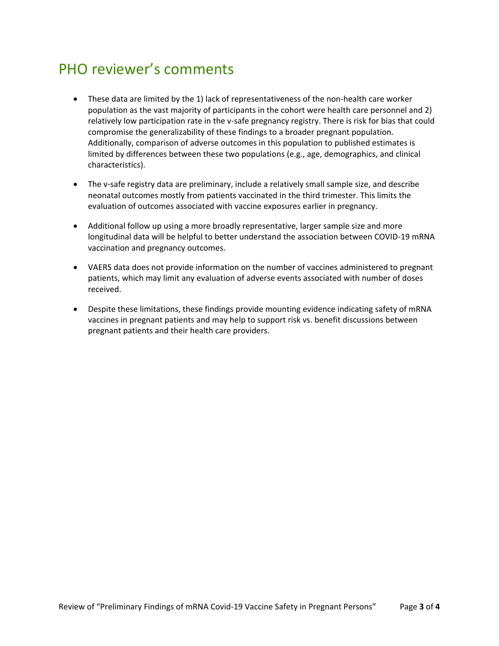### PHO reviewer's comments

- These data are limited by the 1) lack of representativeness of the non-health care worker population as the vast majority of participants in the cohort were health care personnel and 2) relatively low participation rate in the v-safe pregnancy registry. There is risk for bias that could compromise the generalizability of these findings to a broader pregnant population. Additionally, comparison of adverse outcomes in this population to published estimates is limited by differences between these two populations (e.g., age, demographics, and clinical characteristics).
- The v-safe registry data are preliminary, include a relatively small sample size, and describe neonatal outcomes mostly from patients vaccinated in the third trimester. This limits the evaluation of outcomes associated with vaccine exposures earlier in pregnancy.
- Additional follow up using a more broadly representative, larger sample size and more longitudinal data will be helpful to better understand the association between COVID-19 mRNA vaccination and pregnancy outcomes.
- VAERS data does not provide information on the number of vaccines administered to pregnant patients, which may limit any evaluation of adverse events associated with number of doses received.
- Despite these limitations, these findings provide mounting evidence indicating safety of mRNA vaccines in pregnant patients and may help to support risk vs. benefit discussions between pregnant patients and their health care providers.